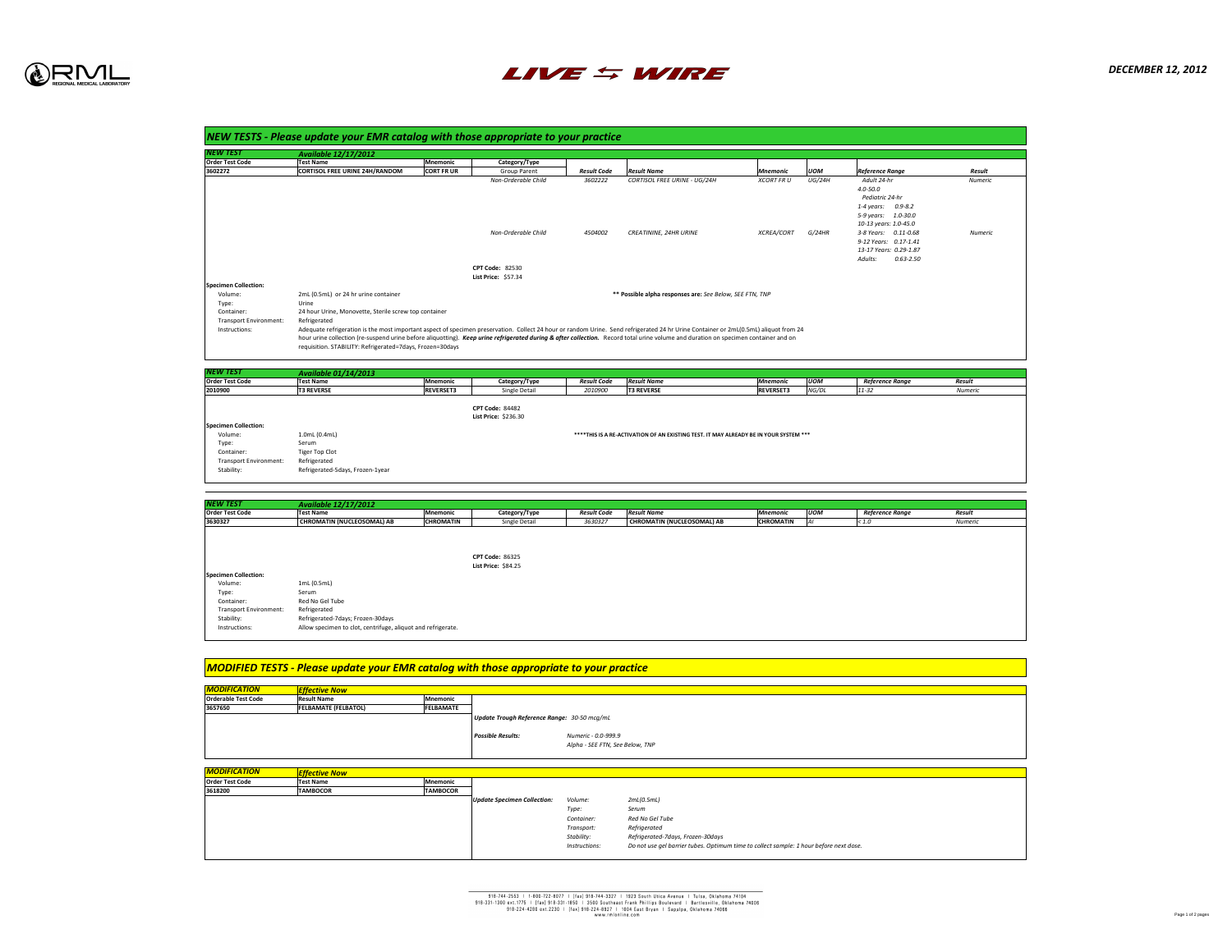*DECEMBER 12, 2012*

Page 1 of 2 pages



| INEW TEST                                                    | <b>Available 12/17/2012</b>                                                                                                                                                                                                                                  |                   |                                                       |
|--------------------------------------------------------------|--------------------------------------------------------------------------------------------------------------------------------------------------------------------------------------------------------------------------------------------------------------|-------------------|-------------------------------------------------------|
| <b>Order Test Code</b>                                       | <b>Test Name</b>                                                                                                                                                                                                                                             | <b>Mnemonic</b>   | Category/Type                                         |
| 3602272                                                      | <b>CORTISOL FREE URINE 24H/RANDOM</b>                                                                                                                                                                                                                        | <b>CORT FR UR</b> | <b>Group Parent</b>                                   |
|                                                              |                                                                                                                                                                                                                                                              |                   | Non-Orderable Ch                                      |
|                                                              |                                                                                                                                                                                                                                                              |                   | Non-Orderable Ch                                      |
|                                                              |                                                                                                                                                                                                                                                              |                   | <b>CPT Code: 82530</b><br><b>List Price: \$57.34</b>  |
| <b>Specimen Collection:</b>                                  |                                                                                                                                                                                                                                                              |                   |                                                       |
| Volume:                                                      | 2mL (0.5mL) or 24 hr urine container                                                                                                                                                                                                                         |                   |                                                       |
| Type:                                                        | Urine                                                                                                                                                                                                                                                        |                   |                                                       |
| Container:<br><b>Transport Environment:</b><br>Instructions: | 24 hour Urine, Monovette, Sterile screw top container<br>Refrigerated<br>Adequate refrigeration is the most important aspect of specimen preservation. Collect 2<br>hour urine collection (re-suspend urine before aliquotting). Keep urine refrigerated dur |                   |                                                       |
| I <i>NEW TEST</i>                                            | requisition. STABILITY: Refrigerated=7days, Frozen=30days<br><b>Available 01/14/2013</b>                                                                                                                                                                     |                   |                                                       |
| <b>Order Test Code</b>                                       | <b>Test Name</b>                                                                                                                                                                                                                                             | <b>Mnemonic</b>   | Category/Type                                         |
| 2010900                                                      | <b>T3 REVERSE</b>                                                                                                                                                                                                                                            | <b>REVERSET3</b>  | Single Detail                                         |
|                                                              |                                                                                                                                                                                                                                                              |                   | <b>CPT Code: 84482</b><br><b>List Price: \$236.30</b> |
| <b>Specimen Collection:</b>                                  |                                                                                                                                                                                                                                                              |                   |                                                       |
| Volume:                                                      | 1.0mL (0.4mL)                                                                                                                                                                                                                                                |                   |                                                       |
| Type:                                                        | Serum                                                                                                                                                                                                                                                        |                   |                                                       |
| Container:                                                   | <b>Tiger Top Clot</b>                                                                                                                                                                                                                                        |                   |                                                       |
| <b>Transport Environment:</b>                                | Refrigerated                                                                                                                                                                                                                                                 |                   |                                                       |
| Stability:                                                   | Refrigerated-5days, Frozen-1year                                                                                                                                                                                                                             |                   |                                                       |

| <b>NEW TEST</b>               | <b>Available 01/14/2013</b>      |                  |                             |                    |                    |                                                                                       |            |                        |                |
|-------------------------------|----------------------------------|------------------|-----------------------------|--------------------|--------------------|---------------------------------------------------------------------------------------|------------|------------------------|----------------|
| <b>Order Test Code</b>        | <b>Test Name</b>                 | Mnemonic         | Category/Type               | <b>Result Code</b> | <b>Result Name</b> | <b>Mnemonic</b>                                                                       | <b>UOM</b> | <b>Reference Range</b> | <b>Result</b>  |
| 2010900                       | <b>T3 REVERSE</b>                | <b>REVERSET3</b> | <b>Single Detail</b>        | 2010900            | <b>T3 REVERSE</b>  | <b>REVERSET3</b>                                                                      | NG/DL      | $11 - 32$              | <b>Numeric</b> |
|                               |                                  |                  |                             |                    |                    |                                                                                       |            |                        |                |
|                               |                                  |                  | <b>CPT Code: 84482</b>      |                    |                    |                                                                                       |            |                        |                |
|                               |                                  |                  | <b>List Price: \$236.30</b> |                    |                    |                                                                                       |            |                        |                |
| <b>Specimen Collection:</b>   |                                  |                  |                             |                    |                    |                                                                                       |            |                        |                |
| Volume:                       | 1.0mL (0.4mL)                    |                  |                             |                    |                    | ****THIS IS A RE-ACTIVATION OF AN EXISTING TEST. IT MAY ALREADY BE IN YOUR SYSTEM *** |            |                        |                |
| Type:                         | Serum                            |                  |                             |                    |                    |                                                                                       |            |                        |                |
| Container:                    | <b>Tiger Top Clot</b>            |                  |                             |                    |                    |                                                                                       |            |                        |                |
| <b>Transport Environment:</b> | Refrigerated                     |                  |                             |                    |                    |                                                                                       |            |                        |                |
| Stability:                    | Refrigerated-5days, Frozen-1year |                  |                             |                    |                    |                                                                                       |            |                        |                |

| <b>NEW TEST</b>               | <b>Available 12/17/2012</b>                                  |                  |                            |                    |                                   |                  |            |                        |         |
|-------------------------------|--------------------------------------------------------------|------------------|----------------------------|--------------------|-----------------------------------|------------------|------------|------------------------|---------|
| <b>Order Test Code</b>        | <b>Test Name</b>                                             | Mnemonic         | Category/Type              | <b>Result Code</b> | <b>Result Name</b>                | Mnemonic         | <b>UOM</b> | <b>Reference Range</b> | Result  |
| 3630327                       | CHROMATIN (NUCLEOSOMAL) AB                                   | <b>CHROMATIN</b> | <b>Single Detail</b>       | 3630327            | <b>CHROMATIN (NUCLEOSOMAL) AB</b> | <b>CHROMATIN</b> |            | < 1.0                  | Numeric |
|                               |                                                              |                  |                            |                    |                                   |                  |            |                        |         |
|                               |                                                              |                  |                            |                    |                                   |                  |            |                        |         |
|                               |                                                              |                  |                            |                    |                                   |                  |            |                        |         |
|                               |                                                              |                  | <b>CPT Code: 86325</b>     |                    |                                   |                  |            |                        |         |
|                               |                                                              |                  | <b>List Price: \$84.25</b> |                    |                                   |                  |            |                        |         |
| <b>Specimen Collection:</b>   |                                                              |                  |                            |                    |                                   |                  |            |                        |         |
| Volume:                       | 1mL(0.5mL)                                                   |                  |                            |                    |                                   |                  |            |                        |         |
| Type:                         | Serum                                                        |                  |                            |                    |                                   |                  |            |                        |         |
| Container:                    | Red No Gel Tube                                              |                  |                            |                    |                                   |                  |            |                        |         |
| <b>Transport Environment:</b> | Refrigerated                                                 |                  |                            |                    |                                   |                  |            |                        |         |
| Stability:                    | Refrigerated-7days; Frozen-30days                            |                  |                            |                    |                                   |                  |            |                        |         |
| Instructions:                 | Allow specimen to clot, centrifuge, aliquot and refrigerate. |                  |                            |                    |                                   |                  |            |                        |         |

| NEW TEST                      | <b>Available 12/17/2012</b>                                  |                  |
|-------------------------------|--------------------------------------------------------------|------------------|
| <b>Order Test Code</b>        | <b>Test Name</b>                                             | <b>Mnemonic</b>  |
| 3630327                       | <b>CHROMATIN (NUCLEOSOMAL) AB</b>                            | <b>CHROMATIN</b> |
|                               |                                                              |                  |
|                               |                                                              |                  |
|                               |                                                              |                  |
|                               |                                                              |                  |
| <b>Specimen Collection:</b>   |                                                              |                  |
| Volume:                       | $1mL$ (0.5mL)                                                |                  |
| Type:                         | Serum                                                        |                  |
| Container:                    | Red No Gel Tube                                              |                  |
| <b>Transport Environment:</b> | Refrigerated                                                 |                  |
| Stability:                    | Refrigerated-7days; Frozen-30days                            |                  |
| Instructions:                 | Allow specimen to clot, centrifuge, aliquot and refrigerate. |                  |
|                               |                                                              |                  |

| <b>NEW TEST</b>                                 | <b>Available 12/17/2012</b>                   |                   |                                                   |                    |                                                                      |                                |                         |                                                                                                                                                                                                                                    |                                  |
|-------------------------------------------------|-----------------------------------------------|-------------------|---------------------------------------------------|--------------------|----------------------------------------------------------------------|--------------------------------|-------------------------|------------------------------------------------------------------------------------------------------------------------------------------------------------------------------------------------------------------------------------|----------------------------------|
| <b>Order Test Code</b>                          | <b>Test Name</b>                              | Mnemonic          | Category/Type                                     |                    |                                                                      |                                |                         |                                                                                                                                                                                                                                    |                                  |
| 3602272                                         | <b>CORTISOL FREE URINE 24H/RANDOM</b>         | <b>CORT FR UR</b> | <b>Group Parent</b>                               | <b>Result Code</b> | <b>Result Name</b>                                                   | Mnemonic                       | <b>UOM</b>              | <b>Reference Range</b>                                                                                                                                                                                                             | <b>Result</b>                    |
|                                                 |                                               |                   | Non-Orderable Child<br><b>Non-Orderable Child</b> | 3602222<br>4504002 | <b>CORTISOL FREE URINE - UG/24H</b><br><b>CREATININE, 24HR URINE</b> | <b>XCORT FRU</b><br>XCREA/CORT | <b>UG/24H</b><br>G/24HR | Adult 24-hr<br>$4.0 - 50.0$<br>Pediatric 24-hr<br>$0.9 - 8.2$<br>1-4 years:<br>5-9 years: 1.0-30.0<br>10-13 years: 1.0-45.0<br>3-8 Years: 0.11-0.68<br>9-12 Years: 0.17-1.41<br>13-17 Years: 0.29-1.87<br>$0.63 - 2.50$<br>Adults: | <b>Numeric</b><br><b>Numeric</b> |
|                                                 |                                               |                   | <b>CPT Code: 82530</b>                            |                    |                                                                      |                                |                         |                                                                                                                                                                                                                                    |                                  |
|                                                 |                                               |                   | <b>List Price: \$57.34</b>                        |                    |                                                                      |                                |                         |                                                                                                                                                                                                                                    |                                  |
| <b>Specimen Collection:</b><br>Volume:<br>Type: | 2mL (0.5mL) or 24 hr urine container<br>Urine |                   |                                                   |                    | ** Possible alpha responses are: See Below, SEE FTN, TNP             |                                |                         |                                                                                                                                                                                                                                    |                                  |

e most important aspect of specimen preservation. Collect 24 hour or random Urine. Send refrigerated 24 hr Urine Container or 2mL(0.5mL) aliquot from 24 spend urine before aliquotting). *Keep urine refrigerated during & after collection.* Record total urine volume and duration on specimen container and on igerated=7days, Frozen=30days

| <b>MODIFICATION</b>        | <b>Effective Now</b>        |                  |
|----------------------------|-----------------------------|------------------|
| <b>Orderable Test Code</b> | <b>Result Name</b>          | <b>Mnemonic</b>  |
| 3657650                    | <b>FELBAMATE (FELBATOL)</b> | <b>FELBAMATE</b> |

| <b>MODIFICATION</b>    | <b>Effective Now</b> |                  |
|------------------------|----------------------|------------------|
| <b>Order Test Code</b> | <b>Test Name</b>     | <b>IMnemonic</b> |
| 3618200                | <b>ITAMBOCOR</b>     | <b>ITAMBOCOR</b> |



| <b>Mnemonic</b>  |                                                    |                                                        |                                   |
|------------------|----------------------------------------------------|--------------------------------------------------------|-----------------------------------|
| <b>FELBAMATE</b> |                                                    |                                                        |                                   |
|                  | <b>Update Trough Reference Range: 30-50 mcg/mL</b> |                                                        |                                   |
|                  | <b>Possible Results:</b>                           | Numeric - 0.0-999.9<br>Alpha - SEE FTN, See Below, TNP |                                   |
|                  |                                                    |                                                        |                                   |
|                  |                                                    |                                                        |                                   |
| <b>Mnemonic</b>  |                                                    |                                                        |                                   |
| <b>TAMBOCOR</b>  |                                                    |                                                        |                                   |
|                  | <b>Update Specimen Collection:</b>                 | Volume:                                                | 2mL(0.5mL)                        |
|                  |                                                    | Type:                                                  | Serum                             |
|                  |                                                    | Container:                                             | <b>Red No Gel Tube</b>            |
|                  |                                                    | Transport:                                             | Refrigerated                      |
|                  |                                                    | Stability:                                             | Refrigerated-7days, Frozen-30days |

918-744-2553 | 1-800-722-8077 | [fax] 918-744-3327 | 1923 South Utica Avenue | Tulsa, Oklahoma 74104 918-331-1300 ext.1775 | [fax] 918-331-1850 | 3500 Southeast Frank Phillips Boulevard | Bartlesville, Oklahoma 74006 918-224-4280 ext.2230 | [fax] 918-224-8927 | 1004 East Bryan | Sapulpa, Oklahoma 74066 www.rmlonline.com

*<i>I* collect sample: 1 hour before next dose.

## *MODIFIED TESTS - Please update your EMR catalog with those appropriate to your practice*